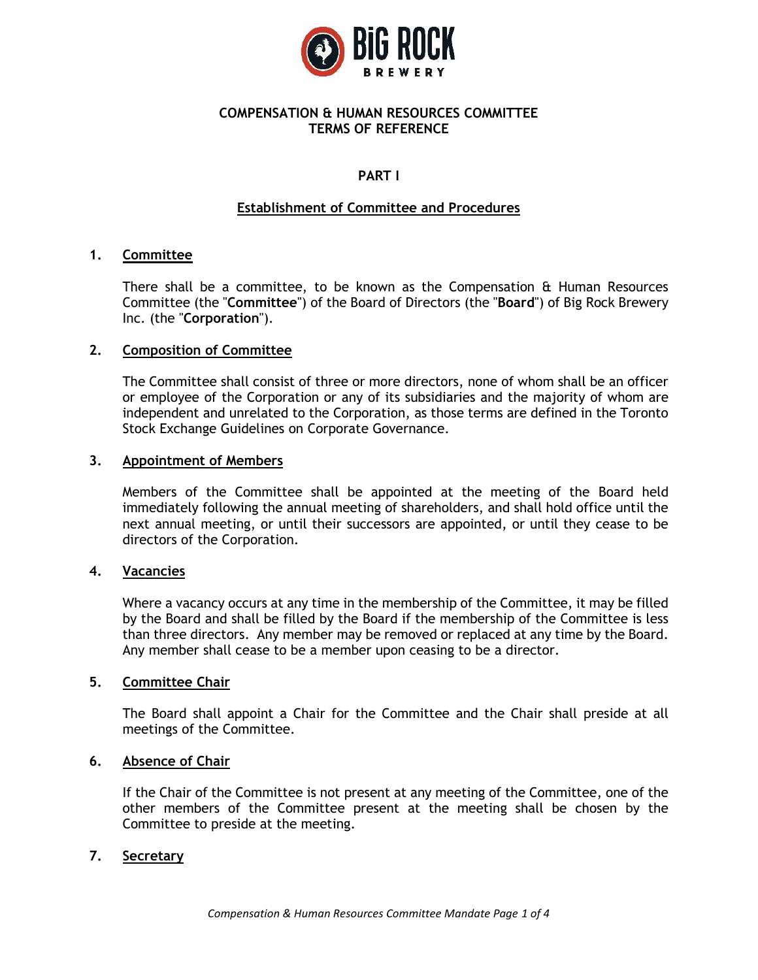

## **COMPENSATION & HUMAN RESOURCES COMMITTEE TERMS OF REFERENCE**

## **PART I**

## **Establishment of Committee and Procedures**

## **1. Committee**

There shall be a committee, to be known as the Compensation & Human Resources Committee (the "**Committee**") of the Board of Directors (the "**Board**") of Big Rock Brewery Inc. (the "**Corporation**").

## **2. Composition of Committee**

The Committee shall consist of three or more directors, none of whom shall be an officer or employee of the Corporation or any of its subsidiaries and the majority of whom are independent and unrelated to the Corporation, as those terms are defined in the Toronto Stock Exchange Guidelines on Corporate Governance.

#### **3. Appointment of Members**

Members of the Committee shall be appointed at the meeting of the Board held immediately following the annual meeting of shareholders, and shall hold office until the next annual meeting, or until their successors are appointed, or until they cease to be directors of the Corporation.

## **4. Vacancies**

Where a vacancy occurs at any time in the membership of the Committee, it may be filled by the Board and shall be filled by the Board if the membership of the Committee is less than three directors. Any member may be removed or replaced at any time by the Board. Any member shall cease to be a member upon ceasing to be a director.

## **5. Committee Chair**

The Board shall appoint a Chair for the Committee and the Chair shall preside at all meetings of the Committee.

## **6. Absence of Chair**

If the Chair of the Committee is not present at any meeting of the Committee, one of the other members of the Committee present at the meeting shall be chosen by the Committee to preside at the meeting.

## **7. Secretary**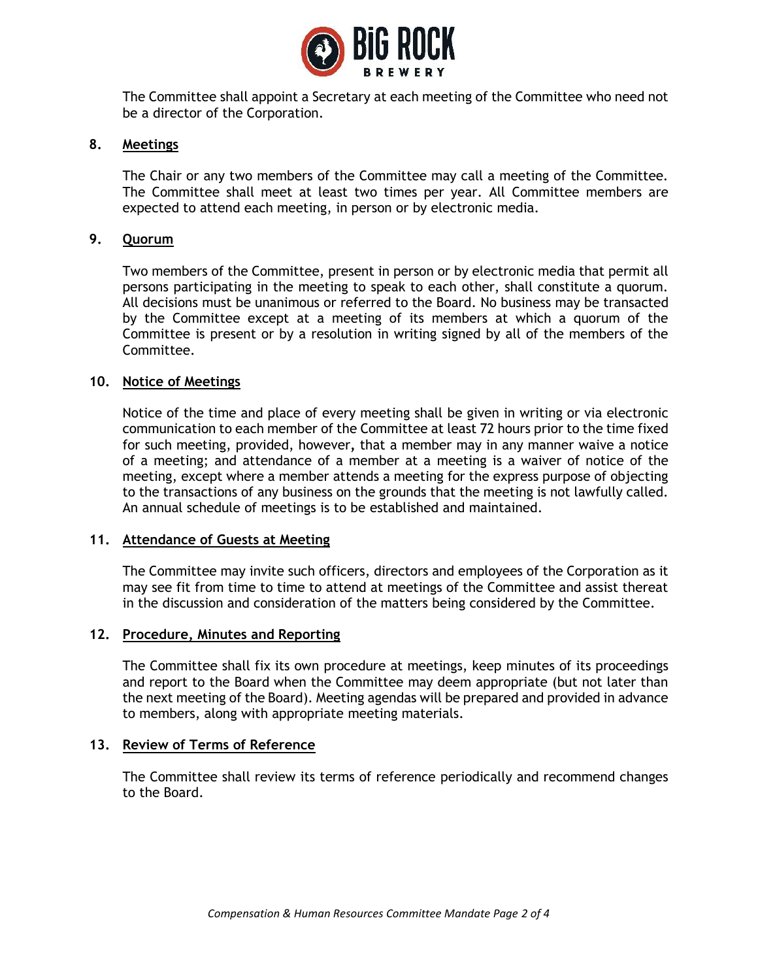

The Committee shall appoint a Secretary at each meeting of the Committee who need not be a director of the Corporation.

## **8. Meetings**

The Chair or any two members of the Committee may call a meeting of the Committee. The Committee shall meet at least two times per year. All Committee members are expected to attend each meeting, in person or by electronic media.

## **9. Quorum**

Two members of the Committee, present in person or by electronic media that permit all persons participating in the meeting to speak to each other, shall constitute a quorum. All decisions must be unanimous or referred to the Board. No business may be transacted by the Committee except at a meeting of its members at which a quorum of the Committee is present or by a resolution in writing signed by all of the members of the Committee.

## **10. Notice of Meetings**

Notice of the time and place of every meeting shall be given in writing or via electronic communication to each member of the Committee at least 72 hours prior to the time fixed for such meeting, provided, however*,* that a member may in any manner waive a notice of a meeting; and attendance of a member at a meeting is a waiver of notice of the meeting, except where a member attends a meeting for the express purpose of objecting to the transactions of any business on the grounds that the meeting is not lawfully called. An annual schedule of meetings is to be established and maintained.

## **11. Attendance of Guests at Meeting**

The Committee may invite such officers, directors and employees of the Corporation as it may see fit from time to time to attend at meetings of the Committee and assist thereat in the discussion and consideration of the matters being considered by the Committee.

## **12. Procedure, Minutes and Reporting**

The Committee shall fix its own procedure at meetings, keep minutes of its proceedings and report to the Board when the Committee may deem appropriate (but not later than the next meeting of the Board). Meeting agendas will be prepared and provided in advance to members, along with appropriate meeting materials.

## **13. Review of Terms of Reference**

The Committee shall review its terms of reference periodically and recommend changes to the Board.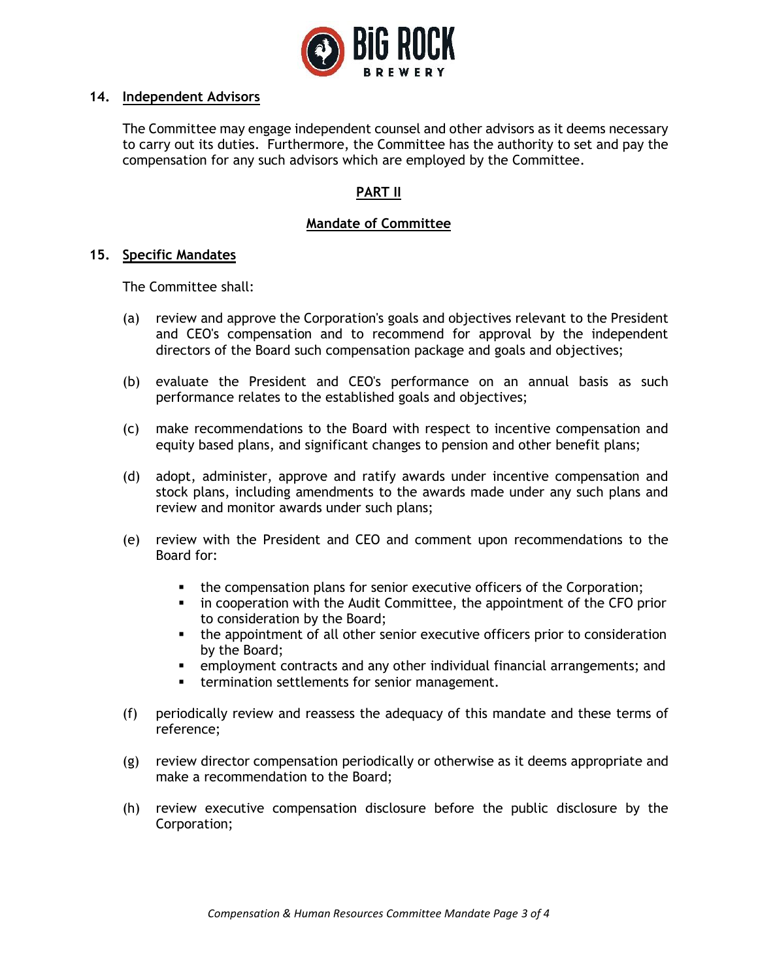

## **14. Independent Advisors**

The Committee may engage independent counsel and other advisors as it deems necessary to carry out its duties. Furthermore, the Committee has the authority to set and pay the compensation for any such advisors which are employed by the Committee.

# **PART II**

# **Mandate of Committee**

## **15. Specific Mandates**

The Committee shall:

- (a) review and approve the Corporation's goals and objectives relevant to the President and CEO's compensation and to recommend for approval by the independent directors of the Board such compensation package and goals and objectives;
- (b) evaluate the President and CEO's performance on an annual basis as such performance relates to the established goals and objectives;
- (c) make recommendations to the Board with respect to incentive compensation and equity based plans, and significant changes to pension and other benefit plans;
- (d) adopt, administer, approve and ratify awards under incentive compensation and stock plans, including amendments to the awards made under any such plans and review and monitor awards under such plans;
- (e) review with the President and CEO and comment upon recommendations to the Board for:
	- **•** the compensation plans for senior executive officers of the Corporation;
	- **•** in cooperation with the Audit Committee, the appointment of the CFO prior to consideration by the Board;
	- the appointment of all other senior executive officers prior to consideration by the Board;
	- **•** employment contracts and any other individual financial arrangements; and
	- **EXECT** termination settlements for senior management.
- (f) periodically review and reassess the adequacy of this mandate and these terms of reference;
- (g) review director compensation periodically or otherwise as it deems appropriate and make a recommendation to the Board;
- (h) review executive compensation disclosure before the public disclosure by the Corporation;